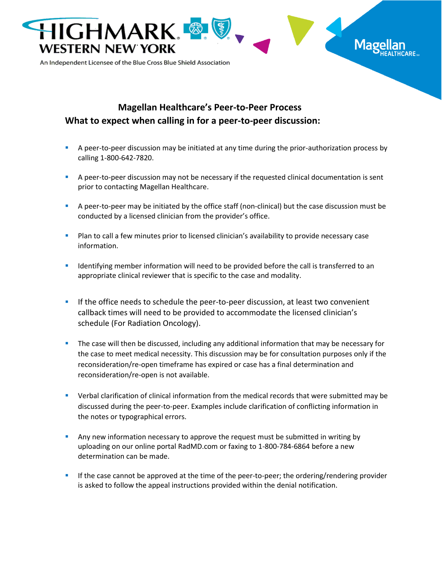

## **Magellan Healthcare's Peer-to-Peer Process What to expect when calling in for a peer-to-peer discussion:**

- **EXECT** A peer-to-peer discussion may be initiated at any time during the prior-authorization process by calling 1-800-642-7820.
- **•** A peer-to-peer discussion may not be necessary if the requested clinical documentation is sent prior to contacting Magellan Healthcare.
- A peer-to-peer may be initiated by the office staff (non-clinical) but the case discussion must be conducted by a licensed clinician from the provider's office.
- **Plan to call a few minutes prior to licensed clinician's availability to provide necessary case** information.
- **■** Identifying member information will need to be provided before the call is transferred to an appropriate clinical reviewer that is specific to the case and modality.
- **■** If the office needs to schedule the peer-to-peer discussion, at least two convenient callback times will need to be provided to accommodate the licensed clinician's schedule (For Radiation Oncology).
- **.** The case will then be discussed, including any additional information that may be necessary for the case to meet medical necessity. This discussion may be for consultation purposes only if the reconsideration/re-open timeframe has expired or case has a final determination and reconsideration/re-open is not available.
- **•** Verbal clarification of clinical information from the medical records that were submitted may be discussed during the peer-to-peer. Examples include clarification of conflicting information in the notes or typographical errors.
- **Any new information necessary to approve the request must be submitted in writing by** uploading on our online portal RadMD.com or faxing to 1-800-784-6864 before a new determination can be made.
- If the case cannot be approved at the time of the peer-to-peer; the ordering/rendering provider is asked to follow the appeal instructions provided within the denial notification.